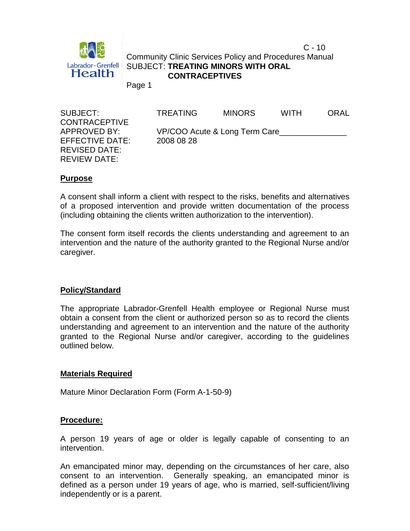

 $C - 10$ Community Clinic Services Policy and Procedures Manual SUBJECT: **TREATING MINORS WITH ORAL CONTRACEPTIVES**

Page 1

| SUBJECT:<br><b>CONTRACEPTIVE</b> | <b>TREATING</b>               | <b>MINORS</b> | <b>WITH</b> | <b>ORAL</b> |
|----------------------------------|-------------------------------|---------------|-------------|-------------|
| APPROVED BY:                     | VP/COO Acute & Long Term Care |               |             |             |
| EFFECTIVE DATE:                  | 2008 08 28                    |               |             |             |
| <b>REVISED DATE:</b>             |                               |               |             |             |
| REVIEW DATE:                     |                               |               |             |             |

## **Purpose**

A consent shall inform a client with respect to the risks, benefits and alternatives of a proposed intervention and provide written documentation of the process (including obtaining the clients written authorization to the intervention).

The consent form itself records the clients understanding and agreement to an intervention and the nature of the authority granted to the Regional Nurse and/or caregiver.

## **Policy/Standard**

The appropriate Labrador-Grenfell Health employee or Regional Nurse must obtain a consent from the client or authorized person so as to record the clients understanding and agreement to an intervention and the nature of the authority granted to the Regional Nurse and/or caregiver, according to the guidelines outlined below.

## **Materials Required**

Mature Minor Declaration Form (Form A-1-50-9)

## **Procedure:**

A person 19 years of age or older is legally capable of consenting to an intervention.

An emancipated minor may, depending on the circumstances of her care, also consent to an intervention. Generally speaking, an emancipated minor is defined as a person under 19 years of age, who is married, self-sufficient/living independently or is a parent.